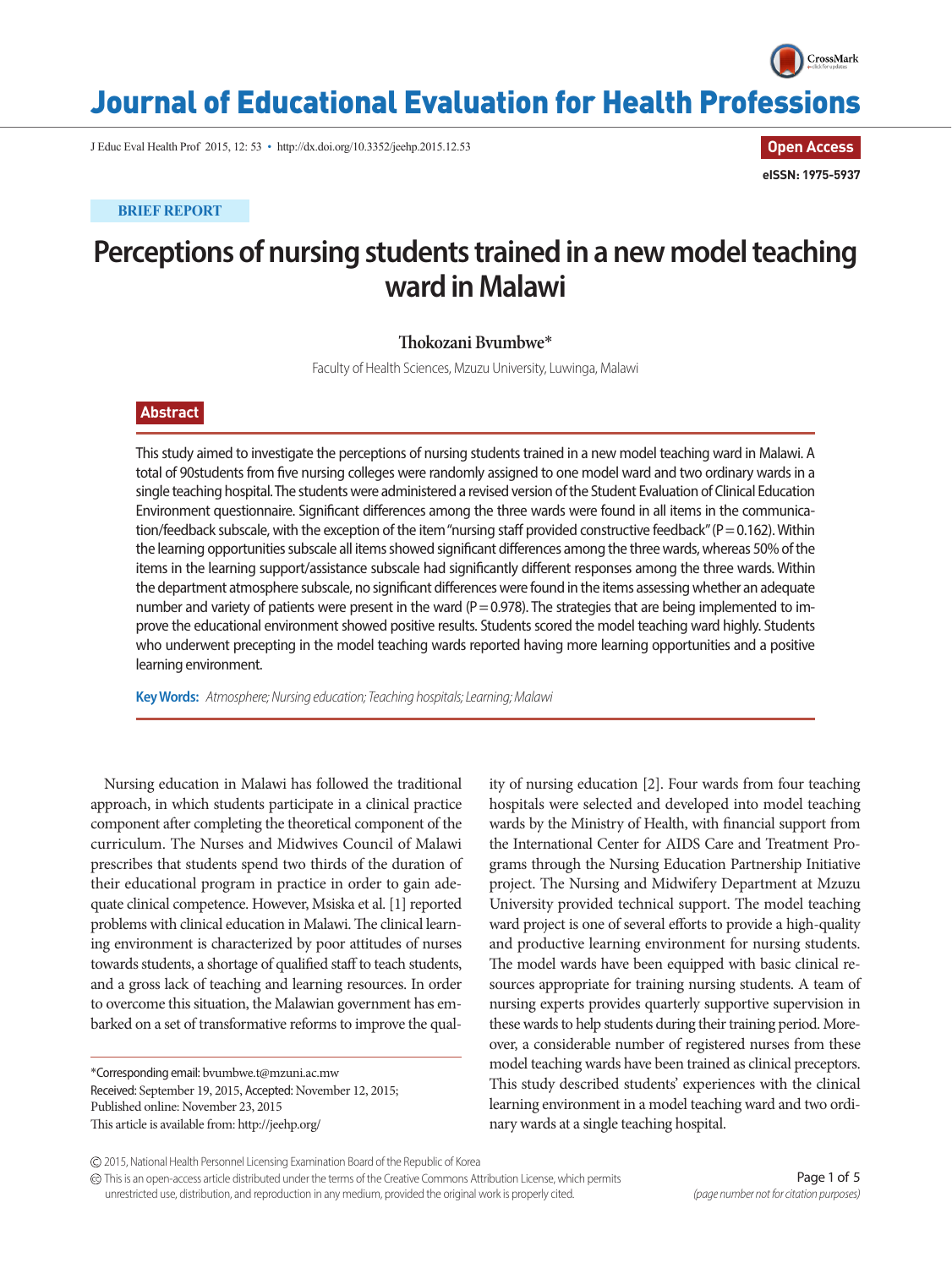

**Open Access**

**eISSN: 1975-5937**

# Journal of Educational Evaluation for Health Professions

J Educ Eval Health Prof 2015, 12: 53 • http://dx.doi.org/10.3352/jeehp.2015.12.53

**BRIEF REPORT**

## **Perceptions of nursing students trained in a new model teaching ward in Malawi**

#### **Thokozani Bvumbwe**\*

Faculty of Health Sciences, Mzuzu University, Luwinga, Malawi

### **Abstract**

This study aimed to investigate the perceptions of nursing students trained in a new model teaching ward in Malawi. A total of 90students from five nursing colleges were randomly assigned to one model ward and two ordinary wards in a single teaching hospital. The students were administered a revised version of the Student Evaluation of Clinical Education Environment questionnaire. Significant differences among the three wards were found in all items in the communication/feedback subscale, with the exception of the item "nursing staff provided constructive feedback" (P = 0.162). Within the learning opportunities subscale all items showed significant differences among the three wards, whereas 50% of the items in the learning support/assistance subscale had significantly different responses among the three wards. Within the department atmosphere subscale, no significant differences were found in the items assessing whether an adequate number and variety of patients were present in the ward ( $P = 0.978$ ). The strategies that are being implemented to improve the educational environment showed positive results. Students scored the model teaching ward highly. Students who underwent precepting in the model teaching wards reported having more learning opportunities and a positive learning environment.

**Key Words:** *Atmosphere; Nursing education; Teaching hospitals; Learning; Malawi*

Nursing education in Malawi has followed the traditional approach, in which students participate in a clinical practice component after completing the theoretical component of the curriculum. The Nurses and Midwives Council of Malawi prescribes that students spend two thirds of the duration of their educational program in practice in order to gain adequate clinical competence. However, Msiska et al. [1] reported problems with clinical education in Malawi. The clinical learning environment is characterized by poor attitudes of nurses towards students, a shortage of qualified staff to teach students, and a gross lack of teaching and learning resources. In order to overcome this situation, the Malawian government has embarked on a set of transformative reforms to improve the qual-

\*Corresponding email: bvumbwe.t@mzuni.ac.mw Received: September 19, 2015, Accepted: November 12, 2015; Published online: November 23, 2015 This article is available from: http://jeehp.org/

ity of nursing education [2]. Four wards from four teaching hospitals were selected and developed into model teaching wards by the Ministry of Health, with financial support from the International Center for AIDS Care and Treatment Programs through the Nursing Education Partnership Initiative project. The Nursing and Midwifery Department at Mzuzu University provided technical support. The model teaching ward project is one of several efforts to provide a high-quality and productive learning environment for nursing students. The model wards have been equipped with basic clinical resources appropriate for training nursing students. A team of nursing experts provides quarterly supportive supervision in these wards to help students during their training period. Moreover, a considerable number of registered nurses from these model teaching wards have been trained as clinical preceptors. This study described students' experiences with the clinical learning environment in a model teaching ward and two ordinary wards at a single teaching hospital.

This is an open-access article distributed under the terms of the Creative Commons Attribution License, which permits unrestricted use, distribution, and reproduction in any medium, provided the original work is properly cited.

<sup>2015,</sup> National Health Personnel Licensing Examination Board of the Republic of Korea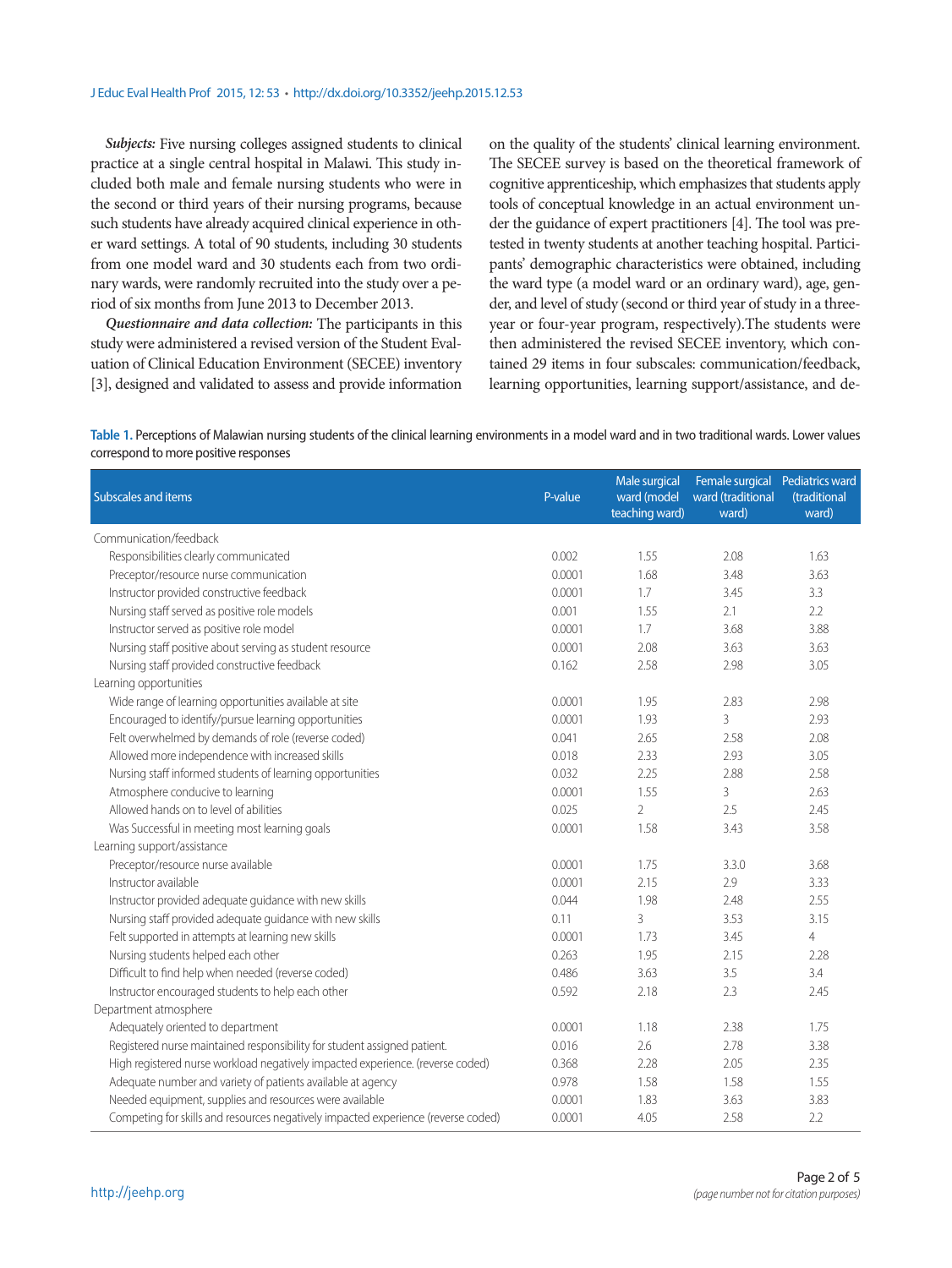*Subjects:* Five nursing colleges assigned students to clinical practice at a single central hospital in Malawi. This study included both male and female nursing students who were in the second or third years of their nursing programs, because such students have already acquired clinical experience in other ward settings. A total of 90 students, including 30 students from one model ward and 30 students each from two ordinary wards, were randomly recruited into the study over a period of six months from June 2013 to December 2013.

*Questionnaire and data collection:* The participants in this study were administered a revised version of the Student Evaluation of Clinical Education Environment (SECEE) inventory [3], designed and validated to assess and provide information

on the quality of the students' clinical learning environment. The SECEE survey is based on the theoretical framework of cognitive apprenticeship, which emphasizes that students apply tools of conceptual knowledge in an actual environment under the guidance of expert practitioners [4]. The tool was pretested in twenty students at another teaching hospital. Participants' demographic characteristics were obtained, including the ward type (a model ward or an ordinary ward), age, gender, and level of study (second or third year of study in a threeyear or four-year program, respectively).The students were then administered the revised SECEE inventory, which contained 29 items in four subscales: communication/feedback, learning opportunities, learning support/assistance, and de-

**Table 1.** Perceptions of Malawian nursing students of the clinical learning environments in a model ward and in two traditional wards. Lower values correspond to more positive responses

| Subscales and items                                                               | P-value | Male surgical<br>ward (model<br>teaching ward) | Female surgical Pediatrics ward<br>ward (traditional<br>ward) | (traditional<br>ward) |
|-----------------------------------------------------------------------------------|---------|------------------------------------------------|---------------------------------------------------------------|-----------------------|
| Communication/feedback                                                            |         |                                                |                                                               |                       |
| Responsibilities clearly communicated                                             | 0.002   | 1.55                                           | 2.08                                                          | 1.63                  |
| Preceptor/resource nurse communication                                            | 0.0001  | 1.68                                           | 3.48                                                          | 3.63                  |
| Instructor provided constructive feedback                                         | 0.0001  | 1.7                                            | 3.45                                                          | 3.3                   |
| Nursing staff served as positive role models                                      | 0.001   | 1.55                                           | 2.1                                                           | 2.2                   |
| Instructor served as positive role model                                          | 0.0001  | 1.7                                            | 3.68                                                          | 3.88                  |
| Nursing staff positive about serving as student resource                          | 0.0001  | 2.08                                           | 3.63                                                          | 3.63                  |
| Nursing staff provided constructive feedback                                      | 0.162   | 2.58                                           | 2.98                                                          | 3.05                  |
| Learning opportunities                                                            |         |                                                |                                                               |                       |
| Wide range of learning opportunities available at site                            | 0.0001  | 1.95                                           | 2.83                                                          | 2.98                  |
| Encouraged to identify/pursue learning opportunities                              | 0.0001  | 1.93                                           | 3                                                             | 2.93                  |
| Felt overwhelmed by demands of role (reverse coded)                               | 0.041   | 2.65                                           | 2.58                                                          | 2.08                  |
| Allowed more independence with increased skills                                   | 0.018   | 2.33                                           | 2.93                                                          | 3.05                  |
| Nursing staff informed students of learning opportunities                         | 0.032   | 2.25                                           | 2.88                                                          | 2.58                  |
| Atmosphere conducive to learning                                                  | 0.0001  | 1.55                                           | 3                                                             | 2.63                  |
| Allowed hands on to level of abilities                                            | 0.025   | $\overline{2}$                                 | 2.5                                                           | 2.45                  |
| Was Successful in meeting most learning goals                                     | 0.0001  | 1.58                                           | 3.43                                                          | 3.58                  |
| Learning support/assistance                                                       |         |                                                |                                                               |                       |
| Preceptor/resource nurse available                                                | 0.0001  | 1.75                                           | 3.3.0                                                         | 3.68                  |
| Instructor available                                                              | 0.0001  | 2.15                                           | 2.9                                                           | 3.33                  |
| Instructor provided adequate guidance with new skills                             | 0.044   | 1.98                                           | 2.48                                                          | 2.55                  |
| Nursing staff provided adequate guidance with new skills                          | 0.11    | 3                                              | 3.53                                                          | 3.15                  |
| Felt supported in attempts at learning new skills                                 | 0.0001  | 1.73                                           | 3.45                                                          | $\overline{4}$        |
| Nursing students helped each other                                                | 0.263   | 1.95                                           | 2.15                                                          | 2.28                  |
| Difficult to find help when needed (reverse coded)                                | 0.486   | 3.63                                           | 3.5                                                           | 3.4                   |
| Instructor encouraged students to help each other                                 | 0.592   | 2.18                                           | 2.3                                                           | 2.45                  |
| Department atmosphere                                                             |         |                                                |                                                               |                       |
| Adequately oriented to department                                                 | 0.0001  | 1.18                                           | 2.38                                                          | 1.75                  |
| Registered nurse maintained responsibility for student assigned patient.          | 0.016   | 2.6                                            | 2.78                                                          | 3.38                  |
| High registered nurse workload negatively impacted experience. (reverse coded)    | 0.368   | 2.28                                           | 2.05                                                          | 2.35                  |
| Adequate number and variety of patients available at agency                       | 0.978   | 1.58                                           | 1.58                                                          | 1.55                  |
| Needed equipment, supplies and resources were available                           | 0.0001  | 1.83                                           | 3.63                                                          | 3.83                  |
| Competing for skills and resources negatively impacted experience (reverse coded) | 0.0001  | 4.05                                           | 2.58                                                          | 2.2                   |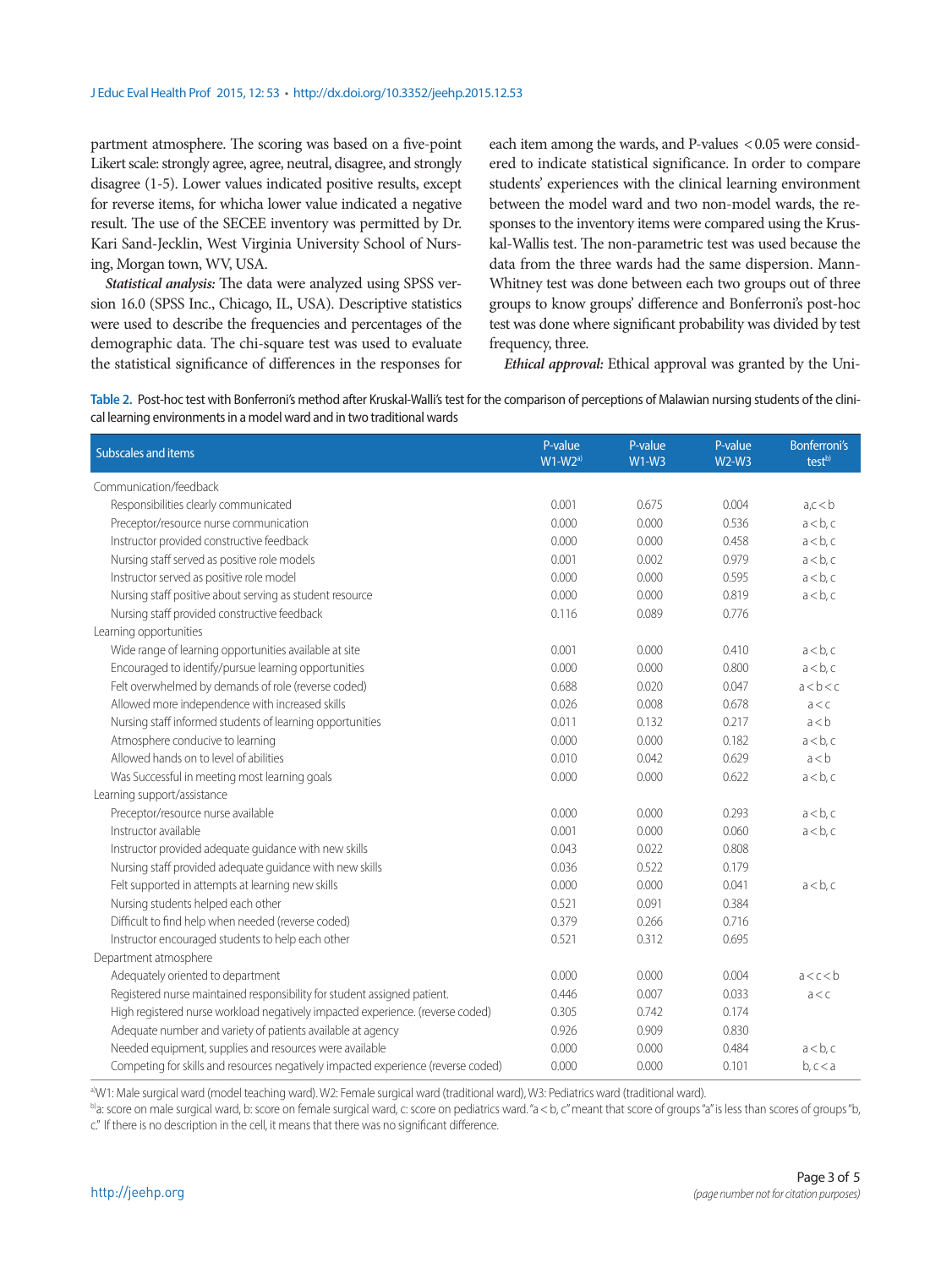partment atmosphere. The scoring was based on a five-point Likert scale: strongly agree, agree, neutral, disagree, and strongly disagree (1-5). Lower values indicated positive results, except for reverse items, for whicha lower value indicated a negative result. The use of the SECEE inventory was permitted by Dr. Kari Sand-Jecklin, West Virginia University School of Nursing, Morgan town, WV, USA.

*Statistical analysis:* The data were analyzed using SPSS version 16.0 (SPSS Inc., Chicago, IL, USA). Descriptive statistics were used to describe the frequencies and percentages of the demographic data. The chi-square test was used to evaluate the statistical significance of differences in the responses for each item among the wards, and P-values < 0.05 were considered to indicate statistical significance. In order to compare students' experiences with the clinical learning environment between the model ward and two non-model wards, the responses to the inventory items were compared using the Kruskal-Wallis test. The non-parametric test was used because the data from the three wards had the same dispersion. Mann-Whitney test was done between each two groups out of three groups to know groups' difference and Bonferroni's post-hoc test was done where significant probability was divided by test frequency, three.

*Ethical approval:* Ethical approval was granted by the Uni-

**Table 2.** Post-hoc test with Bonferroni's method after Kruskal-Walli's test for the comparison of perceptions of Malawian nursing students of the clinical learning environments in a model ward and in two traditional wards

| Subscales and items                                                               | P-value<br>$W1-W2a)$ | P-value<br>$W1-W3$ | P-value<br>$W2-W3$ | <b>Bonferroni's</b><br>test <sup>b)</sup> |
|-----------------------------------------------------------------------------------|----------------------|--------------------|--------------------|-------------------------------------------|
| Communication/feedback                                                            |                      |                    |                    |                                           |
| Responsibilities clearly communicated                                             | 0.001                | 0.675              | 0.004              | a,c < b                                   |
| Preceptor/resource nurse communication                                            | 0.000                | 0.000              | 0.536              | a < b, c                                  |
| Instructor provided constructive feedback                                         | 0.000                | 0.000              | 0.458              | $a < b$ , c                               |
| Nursing staff served as positive role models                                      | 0.001                | 0.002              | 0.979              | a < b, c                                  |
| Instructor served as positive role model                                          | 0.000                | 0.000              | 0.595              | a < b, c                                  |
| Nursing staff positive about serving as student resource                          | 0.000                | 0.000              | 0.819              | a < b, c                                  |
| Nursing staff provided constructive feedback                                      | 0.116                | 0.089              | 0.776              |                                           |
| Learning opportunities                                                            |                      |                    |                    |                                           |
| Wide range of learning opportunities available at site                            | 0.001                | 0.000              | 0.410              | a < b, c                                  |
| Encouraged to identify/pursue learning opportunities                              | 0.000                | 0.000              | 0.800              | a < b, c                                  |
| Felt overwhelmed by demands of role (reverse coded)                               | 0.688                | 0.020              | 0.047              | a < b < c                                 |
| Allowed more independence with increased skills                                   | 0.026                | 0.008              | 0.678              | a < c                                     |
| Nursing staff informed students of learning opportunities                         | 0.011                | 0.132              | 0.217              | a < b                                     |
| Atmosphere conducive to learning                                                  | 0.000                | 0.000              | 0.182              | a < b, c                                  |
| Allowed hands on to level of abilities                                            | 0.010                | 0.042              | 0.629              | a < b                                     |
| Was Successful in meeting most learning goals                                     | 0.000                | 0.000              | 0.622              | a < b, c                                  |
| Learning support/assistance                                                       |                      |                    |                    |                                           |
| Preceptor/resource nurse available                                                | 0.000                | 0.000              | 0.293              | a < b, c                                  |
| Instructor available                                                              | 0.001                | 0.000              | 0.060              | a < b, c                                  |
| Instructor provided adequate guidance with new skills                             | 0.043                | 0.022              | 0.808              |                                           |
| Nursing staff provided adequate guidance with new skills                          | 0.036                | 0.522              | 0.179              |                                           |
| Felt supported in attempts at learning new skills                                 | 0.000                | 0.000              | 0.041              | $a < b$ , c                               |
| Nursing students helped each other                                                | 0.521                | 0.091              | 0.384              |                                           |
| Difficult to find help when needed (reverse coded)                                | 0.379                | 0.266              | 0.716              |                                           |
| Instructor encouraged students to help each other                                 | 0.521                | 0.312              | 0.695              |                                           |
| Department atmosphere                                                             |                      |                    |                    |                                           |
| Adequately oriented to department                                                 | 0.000                | 0.000              | 0.004              | a < c < b                                 |
| Registered nurse maintained responsibility for student assigned patient.          | 0.446                | 0.007              | 0.033              | a < c                                     |
| High registered nurse workload negatively impacted experience. (reverse coded)    | 0.305                | 0.742              | 0.174              |                                           |
| Adequate number and variety of patients available at agency                       | 0.926                | 0.909              | 0.830              |                                           |
| Needed equipment, supplies and resources were available                           | 0.000                | 0.000              | 0.484              | $a < b$ , c                               |
| Competing for skills and resources negatively impacted experience (reverse coded) | 0.000                | 0.000              | 0.101              | b, c < a                                  |

a)W1: Male surgical ward (model teaching ward). W2: Female surgical ward (traditional ward), W3: Pediatrics ward (traditional ward).

b)a: score on male surgical ward, b: score on female surgical ward, c: score on pediatrics ward. "a < b, c" meant that score of groups "a" is less than scores of groups "b, c." If there is no description in the cell, it means that there was no significant difference.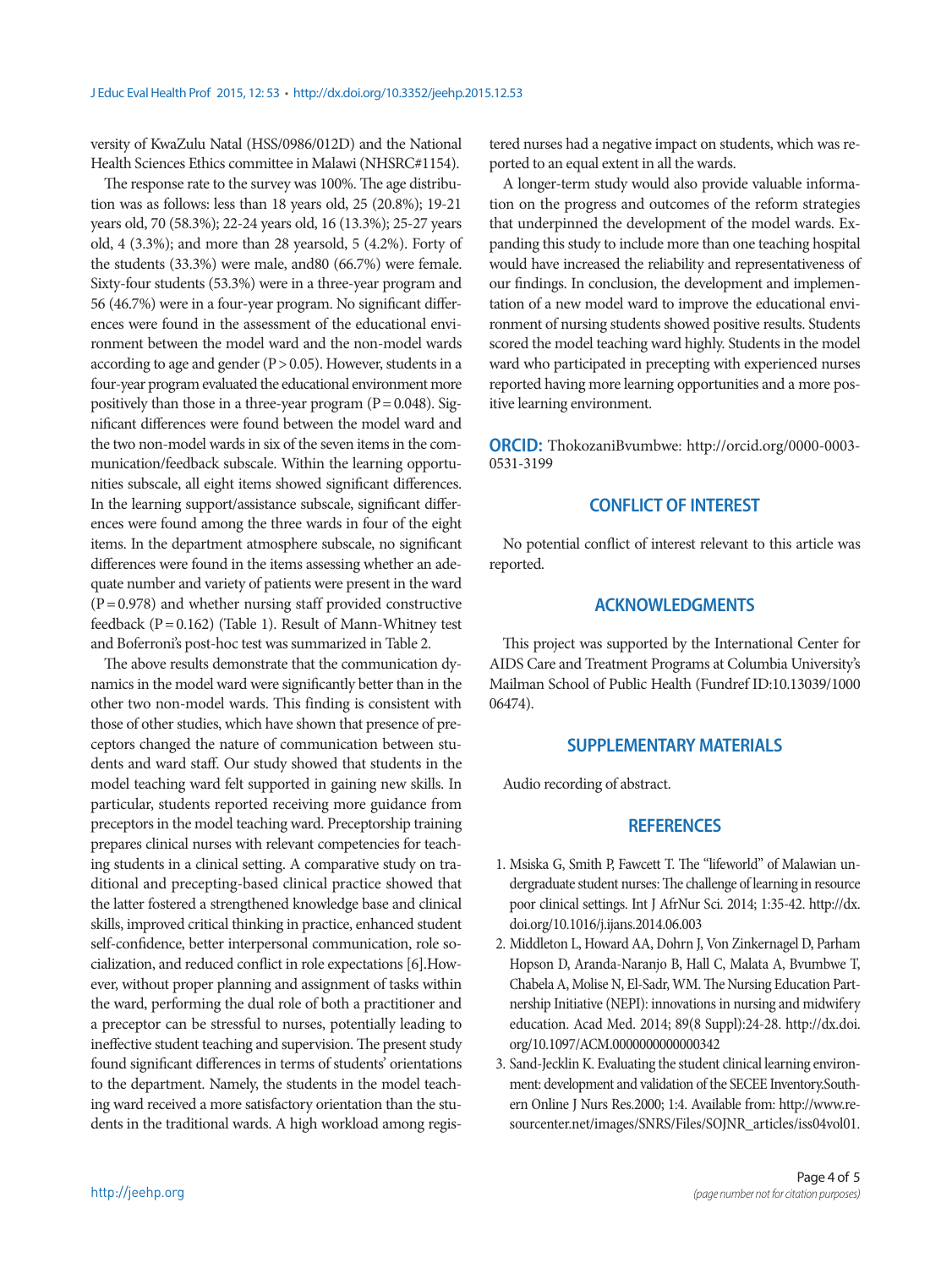versity of KwaZulu Natal (HSS/0986/012D) and the National Health Sciences Ethics committee in Malawi (NHSRC#1154).

The response rate to the survey was 100%. The age distribution was as follows: less than 18 years old, 25 (20.8%); 19-21 years old, 70 (58.3%); 22-24 years old, 16 (13.3%); 25-27 years old, 4 (3.3%); and more than 28 yearsold, 5 (4.2%). Forty of the students (33.3%) were male, and80 (66.7%) were female. Sixty-four students (53.3%) were in a three-year program and 56 (46.7%) were in a four-year program. No significant differences were found in the assessment of the educational environment between the model ward and the non-model wards according to age and gender  $(P> 0.05)$ . However, students in a four-year program evaluated the educational environment more positively than those in a three-year program  $(P = 0.048)$ . Significant differences were found between the model ward and the two non-model wards in six of the seven items in the communication/feedback subscale. Within the learning opportunities subscale, all eight items showed significant differences. In the learning support/assistance subscale, significant differences were found among the three wards in four of the eight items. In the department atmosphere subscale, no significant differences were found in the items assessing whether an adequate number and variety of patients were present in the ward  $(P= 0.978)$  and whether nursing staff provided constructive feedback ( $P = 0.162$ ) (Table 1). Result of Mann-Whitney test and Boferroni's post-hoc test was summarized in Table 2.

The above results demonstrate that the communication dynamics in the model ward were significantly better than in the other two non-model wards. This finding is consistent with those of other studies, which have shown that presence of preceptors changed the nature of communication between students and ward staff. Our study showed that students in the model teaching ward felt supported in gaining new skills. In particular, students reported receiving more guidance from preceptors in the model teaching ward. Preceptorship training prepares clinical nurses with relevant competencies for teaching students in a clinical setting. A comparative study on traditional and precepting-based clinical practice showed that the latter fostered a strengthened knowledge base and clinical skills, improved critical thinking in practice, enhanced student self-confidence, better interpersonal communication, role socialization, and reduced conflict in role expectations [6].However, without proper planning and assignment of tasks within the ward, performing the dual role of both a practitioner and a preceptor can be stressful to nurses, potentially leading to ineffective student teaching and supervision. The present study found significant differences in terms of students' orientations to the department. Namely, the students in the model teaching ward received a more satisfactory orientation than the students in the traditional wards. A high workload among registered nurses had a negative impact on students, which was reported to an equal extent in all the wards.

A longer-term study would also provide valuable information on the progress and outcomes of the reform strategies that underpinned the development of the model wards. Expanding this study to include more than one teaching hospital would have increased the reliability and representativeness of our findings. In conclusion, the development and implementation of a new model ward to improve the educational environment of nursing students showed positive results. Students scored the model teaching ward highly. Students in the model ward who participated in precepting with experienced nurses reported having more learning opportunities and a more positive learning environment.

**ORCID:** ThokozaniBvumbwe: http://orcid.org/0000-0003- 0531-3199

#### **CONFLICT OF INTEREST**

No potential conflict of interest relevant to this article was reported.

#### **ACKNOWLEDGMENTS**

This project was supported by the International Center for AIDS Care and Treatment Programs at Columbia University's Mailman School of Public Health (Fundref ID:10.13039/1000 06474).

#### **SUPPLEMENTARY MATERIALS**

Audio recording of abstract.

#### **REFERENCES**

- 1. Msiska G, Smith P, Fawcett T. The "lifeworld" of Malawian undergraduate student nurses: The challenge of learning in resource poor clinical settings. Int J AfrNur Sci. 2014; 1:35-42. http://dx. doi.org/10.1016/j.ijans.2014.06.003
- 2. Middleton L, Howard AA, Dohrn J, Von Zinkernagel D, Parham Hopson D, Aranda-Naranjo B, Hall C, Malata A, Bvumbwe T, Chabela A, Molise N, El-Sadr, WM. The Nursing Education Partnership Initiative (NEPI): innovations in nursing and midwifery education. Acad Med. 2014; 89(8 Suppl):24-28. http://dx.doi. org/10.1097/ACM.0000000000000342
- 3. Sand-Jecklin K. Evaluating the student clinical learning environment: development and validation of the SECEE Inventory.Southern Online J Nurs Res.2000; 1:4. Available from: http://www.resourcenter.net/images/SNRS/Files/SOJNR\_articles/iss04vol01.